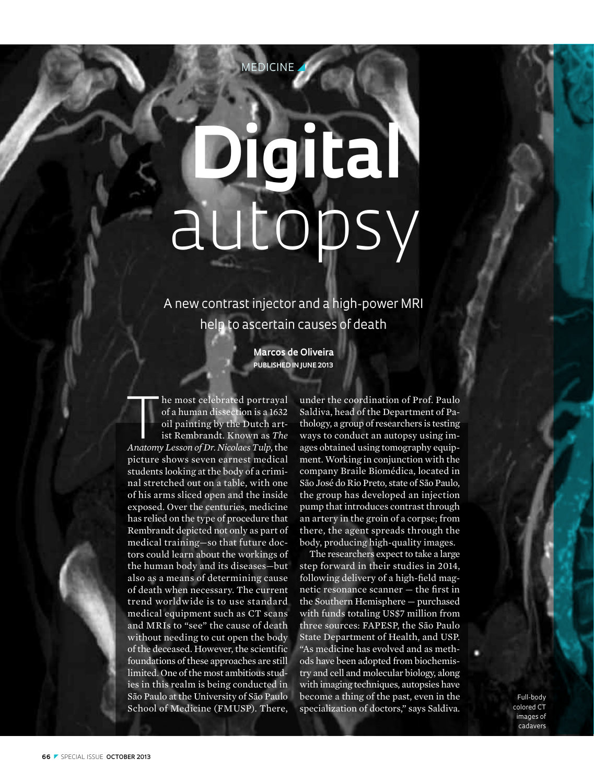# **Digital**  autopsy

EDICINE

A new contrast injector and a high-power MRI help to ascertain causes of death

> **Marcos de Oliveira Published in June 2013**

**Anatomy** I he most celebrated portrayal of a human dissection is a 1632 oil painting by the Dutch artist Rembrandt. Known as *The Anatomy Lesson of Dr. Nicolaes Tulp*, the he most celebrated portrayal of a human dissection is a 1632 oil painting by the Dutch artist Rembrandt. Known as *The* picture shows seven earnest medical students looking at the body of a criminal stretched out on a table, with one of his arms sliced open and the inside exposed. Over the centuries, medicine has relied on the type of procedure that Rembrandt depicted not only as part of medical training—so that future doctors could learn about the workings of the human body and its diseases—but also as a means of determining cause of death when necessary. The current trend worldwide is to use standard medical equipment such as CT scans and MRIs to "see" the cause of death without needing to cut open the body of the deceased. However, the scientific foundations of these approaches are still limited. One of the most ambitious studies in this realm is being conducted in São Paulo at the University of São Paulo School of Medicine (FMUSP). There,

under the coordination of Prof. Paulo Saldiva, head of the Department of Pathology, a group of researchers is testing ways to conduct an autopsy using images obtained using tomography equipment. Working in conjunction with the company Braile Biomédica, located in São José do Rio Preto, state of São Paulo, the group has developed an injection pump that introduces contrast through an artery in the groin of a corpse; from there, the agent spreads through the body, producing high-quality images.

The researchers expect to take a large step forward in their studies in 2014, following delivery of a high-field magnetic resonance scanner — the first in the Southern Hemisphere — purchased with funds totaling US\$7 million from three sources: FAPESP, the São Paulo State Department of Health, and USP. "As medicine has evolved and as methods have been adopted from biochemistry and cell and molecular biology, along with imaging techniques, autopsies have become a thing of the past, even in the specialization of doctors," says Saldiva.

Full-body colored CT images of cadavers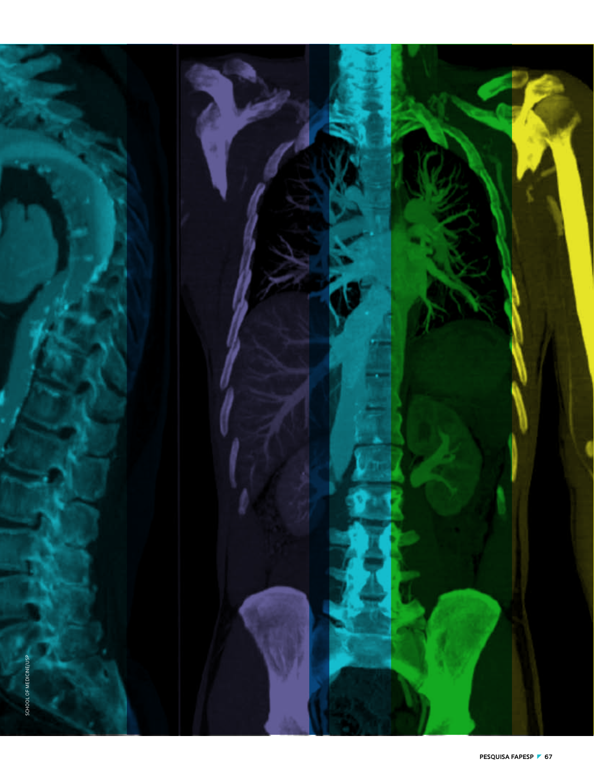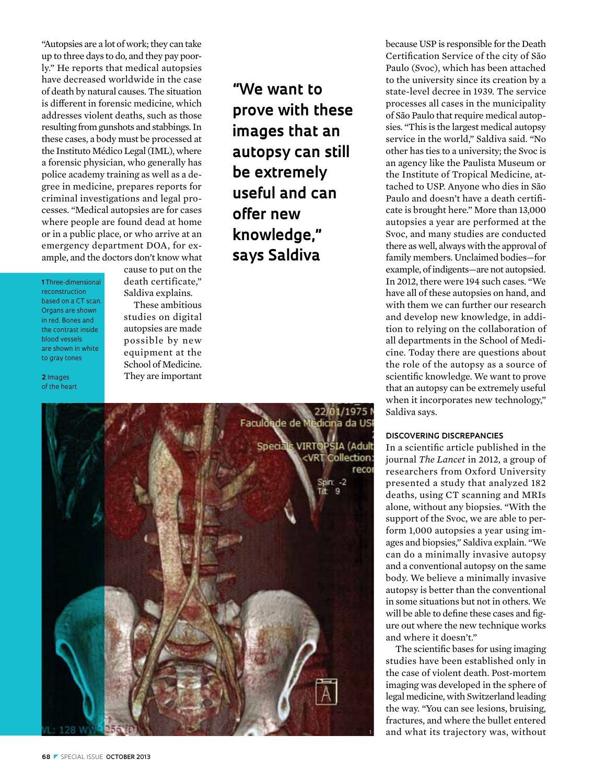"Autopsies are a lot of work; they can take up to three days to do, and they pay poorly." He reports that medical autopsies have decreased worldwide in the case of death by natural causes. The situation is different in forensic medicine, which addresses violent deaths, such as those resulting from gunshots and stabbings. In these cases, a body must be processed at the Instituto Médico Legal (IML), where a forensic physician, who generally has police academy training as well as a degree in medicine, prepares reports for criminal investigations and legal processes. "Medical autopsies are for cases where people are found dead at home or in a public place, or who arrive at an emergency department DOA, for example, and the doctors don't know what

**1** Three-dimensional reconstruction based on a CT scan. Organs are shown in red. Bones and the contrast inside blood vessels are shown in white to gray tones

**2** Images of the heart cause to put on the death certificate," Saldiva explains.

These ambitious studies on digital autopsies are made possible by new equipment at the School of Medicine. They are important



**"We want to prove with these images that an autopsy can still be extremely useful and can offer new knowledge," says Saldiva**

because USP is responsible for the Death Certification Service of the city of São Paulo (Svoc), which has been attached to the university since its creation by a state-level decree in 1939. The service processes all cases in the municipality of São Paulo that require medical autopsies. "This is the largest medical autopsy service in the world," Saldiva said. "No other has ties to a university; the Svoc is an agency like the Paulista Museum or the Institute of Tropical Medicine, attached to USP. Anyone who dies in São Paulo and doesn't have a death certificate is brought here." More than 13,000 autopsies a year are performed at the Svoc, and many studies are conducted there as well, always with the approval of family members. Unclaimed bodies—for example, of indigents—are not autopsied. In 2012, there were 194 such cases. "We have all of these autopsies on hand, and with them we can further our research and develop new knowledge, in addition to relying on the collaboration of all departments in the School of Medicine. Today there are questions about the role of the autopsy as a source of scientific knowledge. We want to prove that an autopsy can be extremely useful when it incorporates new technology," Saldiva says.

### **Discovering discrepancies**

In a scientific article published in the journal *The Lancet* in 2012, a group of researchers from Oxford University presented a study that analyzed 182 deaths, using CT scanning and MRIs alone, without any biopsies. "With the support of the Svoc, we are able to perform 1,000 autopsies a year using images and biopsies," Saldiva explain. "We can do a minimally invasive autopsy and a conventional autopsy on the same body. We believe a minimally invasive autopsy is better than the conventional in some situations but not in others. We will be able to define these cases and figure out where the new technique works and where it doesn't."

The scientific bases for using imaging studies have been established only in the case of violent death. Post-mortem imaging was developed in the sphere of legal medicine, with Switzerland leading the way. "You can see lesions, bruising, fractures, and where the bullet entered and what its trajectory was, without